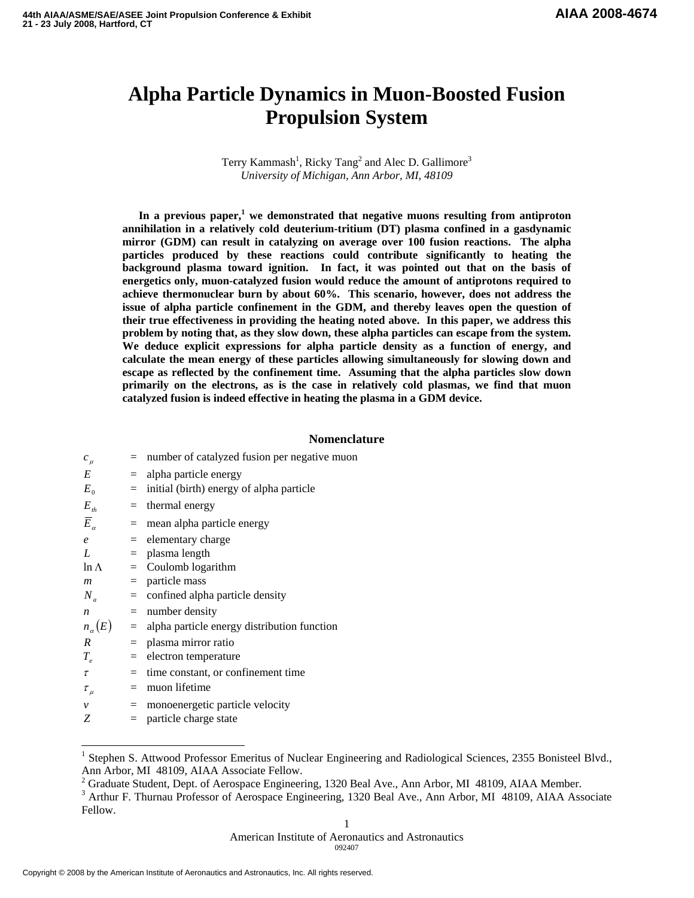# **Alpha Particle Dynamics in Muon-Boosted Fusion Propulsion System**

Terry Kammash<sup>1</sup>, Ricky Tang<sup>2</sup> and Alec D. Gallimore<sup>3</sup> *University of Michigan, Ann Arbor, MI, 48109* 

In a previous paper,<sup>1</sup> we demonstrated that negative muons resulting from antiproton **annihilation in a relatively cold deuterium-tritium (DT) plasma confined in a gasdynamic mirror (GDM) can result in catalyzing on average over 100 fusion reactions. The alpha particles produced by these reactions could contribute significantly to heating the background plasma toward ignition. In fact, it was pointed out that on the basis of energetics only, muon-catalyzed fusion would reduce the amount of antiprotons required to achieve thermonuclear burn by about 60%. This scenario, however, does not address the issue of alpha particle confinement in the GDM, and thereby leaves open the question of their true effectiveness in providing the heating noted above. In this paper, we address this problem by noting that, as they slow down, these alpha particles can escape from the system. We deduce explicit expressions for alpha particle density as a function of energy, and calculate the mean energy of these particles allowing simultaneously for slowing down and escape as reflected by the confinement time. Assuming that the alpha particles slow down primarily on the electrons, as is the case in relatively cold plasmas, we find that muon catalyzed fusion is indeed effective in heating the plasma in a GDM device.** 

# **Nomenclature**

| $c_{\mu}$             |                 | number of catalyzed fusion per negative muon    |
|-----------------------|-----------------|-------------------------------------------------|
| E                     |                 | $=$ alpha particle energy                       |
| $E_{0}$               |                 | initial (birth) energy of alpha particle        |
| $E_{th}$              | $=$             | thermal energy                                  |
| $\overline{E}_\alpha$ |                 | $=$ mean alpha particle energy                  |
| $\mathfrak{e}$        |                 | $=$ elementary charge                           |
| L                     |                 | $=$ plasma length                               |
| $\ln \Lambda$         |                 | $=$ Coulomb logarithm                           |
| $\boldsymbol{m}$      |                 | $=$ particle mass                               |
| $N_a$                 |                 | $=$ confined alpha particle density             |
| n                     |                 | $=$ number density                              |
| $n_{\alpha}(E)$       |                 | $=$ alpha particle energy distribution function |
| R                     |                 | $=$ plasma mirror ratio                         |
| $T_e$                 |                 | $=$ electron temperature                        |
| τ                     |                 | time constant, or confinement time              |
| $\tau_{\mu}$          |                 | muon lifetime                                   |
| $\mathcal V$          | $\quad \  \  =$ | monoenergetic particle velocity                 |
| Z                     |                 | particle charge state                           |

<sup>&</sup>lt;sup>1</sup> Stephen S. Attwood Professor Emeritus of Nuclear Engineering and Radiological Sciences, 2355 Bonisteel Blvd., Ann Arbor, MI 48109, AIAA Associate Fellow.

 $\overline{\phantom{a}}$ 

<sup>&</sup>lt;sup>2</sup> Graduate Student, Dept. of Aerospace Engineering, 1320 Beal Ave., Ann Arbor, MI 48109, AIAA Member.<br><sup>3</sup> Arthur E. Thurnou Professor of Aerospace Engineering, 1320 Beal Ave., Ann Arbor, MI 48109, AIAA Aero

<sup>&</sup>lt;sup>3</sup> Arthur F. Thurnau Professor of Aerospace Engineering, 1320 Beal Ave., Ann Arbor, MI 48109, AIAA Associate Fellow.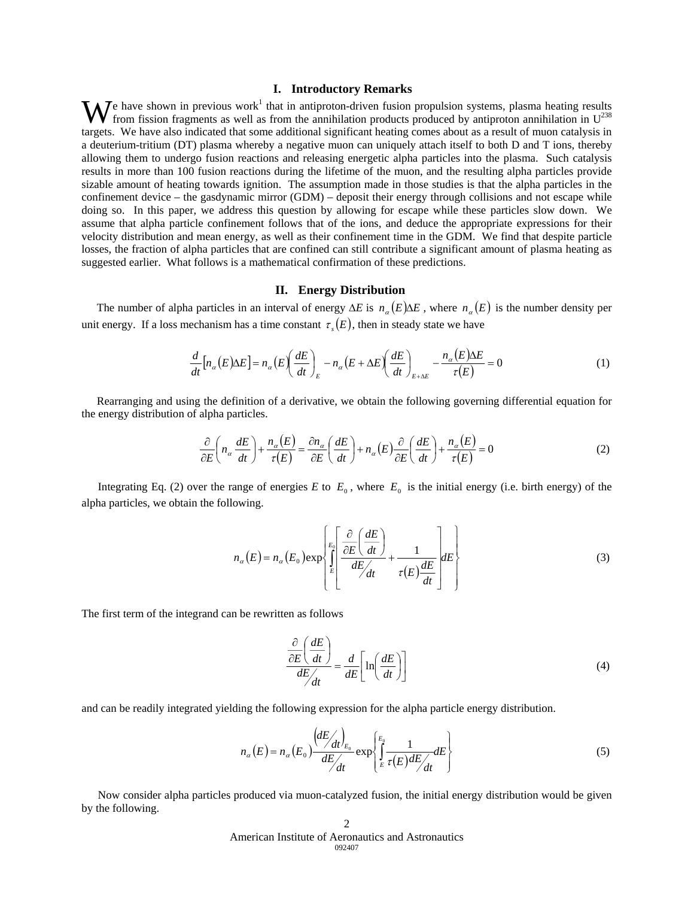# **I. Introductory Remarks**

e have shown in previous work<sup>1</sup> that in antiproton-driven fusion propulsion systems, plasma heating results We have shown in previous work<sup>1</sup> that in antiproton-driven fusion propulsion systems, plasma heating results from fission fragments as well as from the annihilation products produced by antiproton annihilation in  $U^{238}$ targets. We have also indicated that some additional significant heating comes about as a result of muon catalysis in a deuterium-tritium (DT) plasma whereby a negative muon can uniquely attach itself to both D and T ions, thereby allowing them to undergo fusion reactions and releasing energetic alpha particles into the plasma. Such catalysis results in more than 100 fusion reactions during the lifetime of the muon, and the resulting alpha particles provide sizable amount of heating towards ignition. The assumption made in those studies is that the alpha particles in the confinement device – the gasdynamic mirror (GDM) – deposit their energy through collisions and not escape while doing so. In this paper, we address this question by allowing for escape while these particles slow down. We assume that alpha particle confinement follows that of the ions, and deduce the appropriate expressions for their velocity distribution and mean energy, as well as their confinement time in the GDM. We find that despite particle losses, the fraction of alpha particles that are confined can still contribute a significant amount of plasma heating as suggested earlier. What follows is a mathematical confirmation of these predictions.

### **II. Energy Distribution**

The number of alpha particles in an interval of energy  $\Delta E$  is  $n_{\alpha}(E)\Delta E$ , where  $n_{\alpha}(E)$  is the number density per unit energy. If a loss mechanism has a time constant  $\tau<sub>s</sub>(E)$ , then in steady state we have

$$
\frac{d}{dt}\left[n_{\alpha}(E)\Delta E\right] = n_{\alpha}\left(E\right)\left(\frac{dE}{dt}\right)_{E} - n_{\alpha}\left(E + \Delta E\right)\left(\frac{dE}{dt}\right)_{E + \Delta E} - \frac{n_{\alpha}\left(E\right)\Delta E}{\tau(E)} = 0\tag{1}
$$

 Rearranging and using the definition of a derivative, we obtain the following governing differential equation for the energy distribution of alpha particles.

$$
\frac{\partial}{\partial E} \left( n_a \frac{dE}{dt} \right) + \frac{n_a(E)}{\tau(E)} = \frac{\partial n_a}{\partial E} \left( \frac{dE}{dt} \right) + n_a(E) \frac{\partial}{\partial E} \left( \frac{dE}{dt} \right) + \frac{n_a(E)}{\tau(E)} = 0
$$
\n(2)

Integrating Eq. (2) over the range of energies *E* to  $E_0$ , where  $E_0$  is the initial energy (i.e. birth energy) of the alpha particles, we obtain the following.

$$
n_{\alpha}(E) = n_{\alpha}(E_0) \exp\left\{\int_{E_0}^{E_0} \left[\frac{\frac{\partial}{\partial E}\left(\frac{dE}{dt}\right)}{dE/dt} + \frac{1}{\tau(E)\frac{dE}{dt}}\right]dE\right\}
$$
(3)

The first term of the integrand can be rewritten as follows

$$
\frac{\partial}{\partial E} \left( \frac{dE}{dt} \right)}{dE / dt} = \frac{d}{dE} \left[ \ln \left( \frac{dE}{dt} \right) \right]
$$
(4)

and can be readily integrated yielding the following expression for the alpha particle energy distribution.

$$
n_{\alpha}(E) = n_{\alpha}(E_0) \frac{\left\langle dE/dt \right\rangle_{E_0}}{dE/dt} \exp\left\{ \frac{E_0}{E} \frac{1}{\tau(E) dE/dt} dE \right\}
$$
(5)

Now consider alpha particles produced via muon-catalyzed fusion, the initial energy distribution would be given by the following.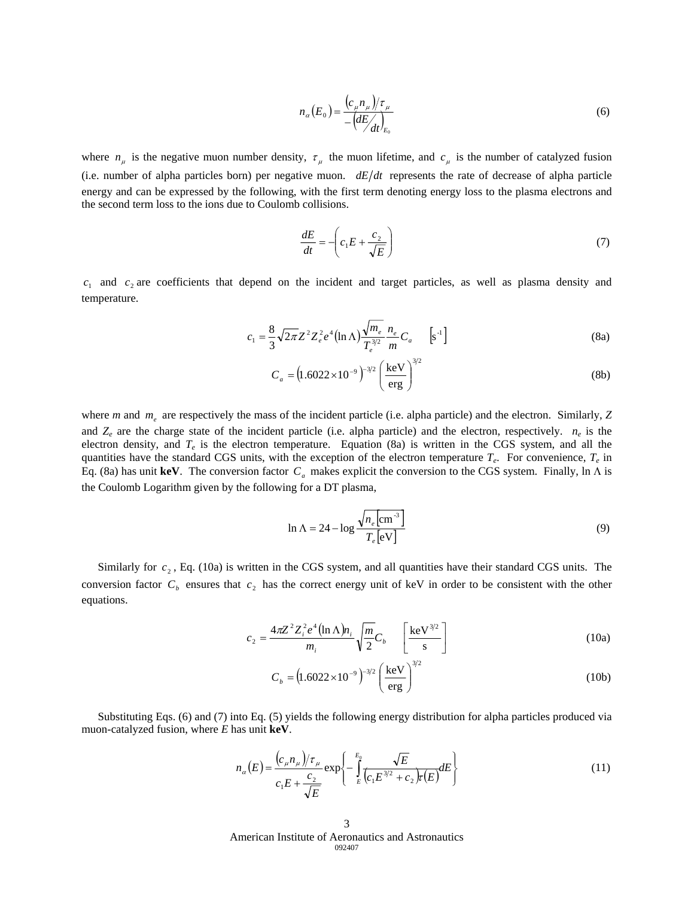$$
n_{\alpha}(E_0) = \frac{\left(c_{\mu}n_{\mu}\right)/\tau_{\mu}}{-\left(dE/\right)_{E_0}}
$$
\n<sup>(6)</sup>

where  $n_{\mu}$  is the negative muon number density,  $\tau_{\mu}$  the muon lifetime, and  $c_{\mu}$  is the number of catalyzed fusion (i.e. number of alpha particles born) per negative muon.  $dE/dt$  represents the rate of decrease of alpha particle energy and can be expressed by the following, with the first term denoting energy loss to the plasma electrons and the second term loss to the ions due to Coulomb collisions.

$$
\frac{dE}{dt} = -\left(c_1 E + \frac{c_2}{\sqrt{E}}\right) \tag{7}
$$

 $c_1$  and  $c_2$  are coefficients that depend on the incident and target particles, as well as plasma density and temperature.

$$
c_1 = \frac{8}{3} \sqrt{2\pi} Z^2 Z_e^2 e^4 (\ln \Lambda) \frac{\sqrt{m_e}}{T_e^{3/2}} \frac{n_e}{m} C_a \qquad [s^{-1}]
$$
 (8a)

$$
C_a = (1.6022 \times 10^{-9})^{-3/2} \left(\frac{\text{keV}}{\text{erg}}\right)^{3/2} \tag{8b}
$$

where *m* and  $m_e$  are respectively the mass of the incident particle (i.e. alpha particle) and the electron. Similarly, *Z* and  $Z_e$  are the charge state of the incident particle (i.e. alpha particle) and the electron, respectively.  $n_e$  is the electron density, and  $T_e$  is the electron temperature. Equation (8a) is written in the CGS system, and all the quantities have the standard CGS units, with the exception of the electron temperature  $T_e$ . For convenience,  $T_e$  in Eq. (8a) has unit **keV**. The conversion factor  $C_a$  makes explicit the conversion to the CGS system. Finally, ln  $\Lambda$  is the Coulomb Logarithm given by the following for a DT plasma,

$$
\ln \Lambda = 24 - \log \frac{\sqrt{n_e \left[\text{cm}^{-3}\right]}}{T_e \left[\text{eV}\right]}
$$
\n(9)

Similarly for  $c_2$ , Eq. (10a) is written in the CGS system, and all quantities have their standard CGS units. The conversion factor  $C_b$  ensures that  $c_2$  has the correct energy unit of keV in order to be consistent with the other equations.

$$
c_2 = \frac{4\pi Z^2 Z_i^2 e^4 (\ln \Lambda) n_i}{m_i} \sqrt{\frac{m}{2}} C_b \qquad \left[ \frac{\text{keV}^{3/2}}{\text{s}} \right] \tag{10a}
$$

$$
C_b = (1.6022 \times 10^{-9})^{-3/2} \left(\frac{\text{keV}}{\text{erg}}\right)^{3/2} \tag{10b}
$$

 Substituting Eqs. (6) and (7) into Eq. (5) yields the following energy distribution for alpha particles produced via muon-catalyzed fusion, where *E* has unit **keV**.

$$
n_{\alpha}(E) = \frac{(c_{\mu}n_{\mu})/\tau_{\mu}}{c_{1}E + \frac{c_{2}}{\sqrt{E}}}\exp\left\{-\int_{E}^{E_{0}}\frac{\sqrt{E}}{(c_{1}E^{3/2} + c_{2})\tau(E)}dE\right\}
$$
(11)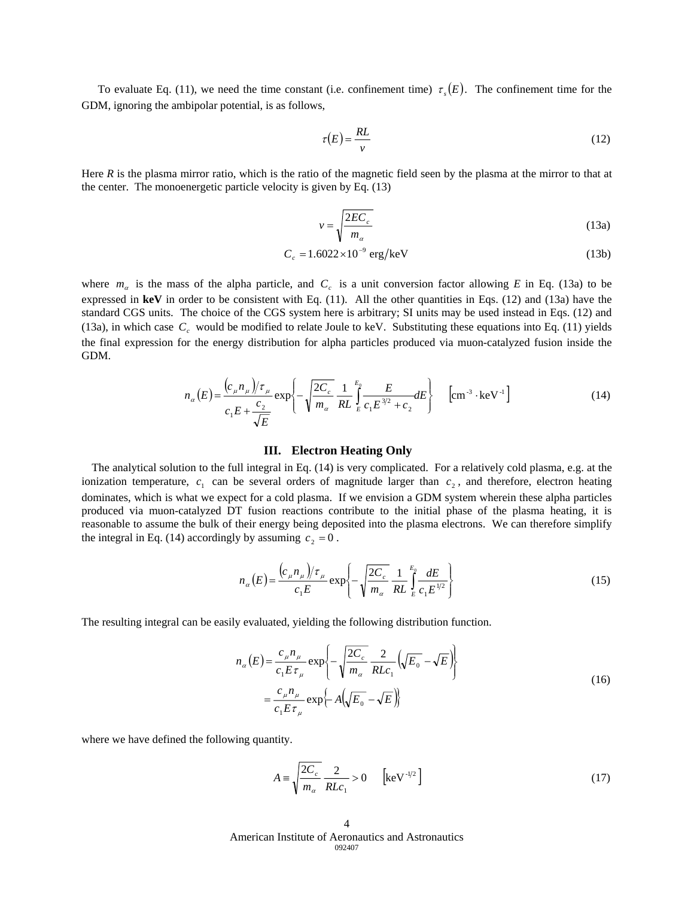To evaluate Eq. (11), we need the time constant (i.e. confinement time)  $\tau$ <sub>s</sub> $(E)$ . The confinement time for the GDM, ignoring the ambipolar potential, is as follows,

$$
\tau(E) = \frac{RL}{v} \tag{12}
$$

Here  $R$  is the plasma mirror ratio, which is the ratio of the magnetic field seen by the plasma at the mirror to that at the center. The monoenergetic particle velocity is given by Eq. (13)

$$
v = \sqrt{\frac{2EC_c}{m_a}}
$$
 (13a)

$$
C_c = 1.6022 \times 10^{-9} \text{ erg/keV}
$$
 (13b)

where  $m_\alpha$  is the mass of the alpha particle, and  $C_c$  is a unit conversion factor allowing *E* in Eq. (13a) to be expressed in  $\text{keV}$  in order to be consistent with Eq. (11). All the other quantities in Eqs. (12) and (13a) have the standard CGS units. The choice of the CGS system here is arbitrary; SI units may be used instead in Eqs. (12) and (13a), in which case  $C_c$  would be modified to relate Joule to keV. Substituting these equations into Eq. (11) yields the final expression for the energy distribution for alpha particles produced via muon-catalyzed fusion inside the GDM.

$$
n_{\alpha}(E) = \frac{(c_{\mu}n_{\mu})/\tau_{\mu}}{c_{1}E + \frac{c_{2}}{\sqrt{E}}}\exp\left\{-\sqrt{\frac{2C_{c}}{m_{\alpha}}}\frac{1}{RL}\int_{E}^{E_{0}}\frac{E}{c_{1}E^{3/2} + c_{2}}dE\right\} \quad \left[\text{cm}^{-3} \cdot \text{keV}^{-1}\right]
$$
(14)

#### **III. Electron Heating Only**

The analytical solution to the full integral in Eq. (14) is very complicated. For a relatively cold plasma, e.g. at the ionization temperature,  $c_1$  can be several orders of magnitude larger than  $c_2$ , and therefore, electron heating dominates, which is what we expect for a cold plasma. If we envision a GDM system wherein these alpha particles produced via muon-catalyzed DT fusion reactions contribute to the initial phase of the plasma heating, it is reasonable to assume the bulk of their energy being deposited into the plasma electrons. We can therefore simplify the integral in Eq. (14) accordingly by assuming  $c_2 = 0$ .

$$
n_{\alpha}(E) = \frac{(c_{\mu}n_{\mu})/\tau_{\mu}}{c_{1}E} \exp\left\{-\sqrt{\frac{2C_{c}}{m_{\alpha}}} \frac{1}{RL} \int_{E}^{E_{0}} \frac{dE}{c_{1}E^{1/2}}\right\}
$$
(15)

The resulting integral can be easily evaluated, yielding the following distribution function.

$$
n_{\alpha}(E) = \frac{c_{\mu}n_{\mu}}{c_{1}E\tau_{\mu}} \exp\left\{-\sqrt{\frac{2C_{c}}{m_{\alpha}}} \frac{2}{RLc_{1}}(\sqrt{E_{0}} - \sqrt{E})\right\}
$$
  

$$
= \frac{c_{\mu}n_{\mu}}{c_{1}E\tau_{\mu}} \exp\left\{-A(\sqrt{E_{0}} - \sqrt{E})\right\}
$$
 (16)

where we have defined the following quantity.

$$
A = \sqrt{\frac{2C_c}{m_\alpha}} \frac{2}{RLc_1} > 0 \qquad \left[\text{keV}^{-1/2}\right] \tag{17}
$$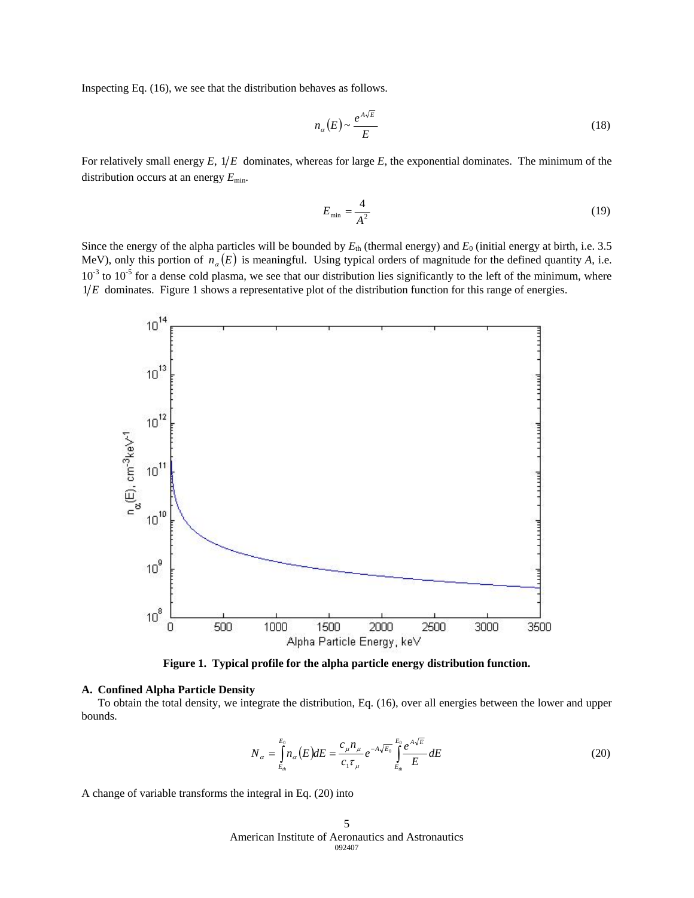Inspecting Eq. (16), we see that the distribution behaves as follows.

$$
n_{\alpha}(E) \sim \frac{e^{A\sqrt{E}}}{E} \tag{18}
$$

For relatively small energy  $E$ ,  $1/E$  dominates, whereas for large  $E$ , the exponential dominates. The minimum of the distribution occurs at an energy  $E_{\text{min}}$ .

$$
E_{\min} = \frac{4}{A^2} \tag{19}
$$

Since the energy of the alpha particles will be bounded by  $E_{th}$  (thermal energy) and  $E_0$  (initial energy at birth, i.e. 3.5 MeV), only this portion of  $n_{\alpha}(E)$  is meaningful. Using typical orders of magnitude for the defined quantity *A*, i.e.  $10^{-3}$  to  $10^{-5}$  for a dense cold plasma, we see that our distribution lies significantly to the left of the minimum, where  $1/E$  dominates. Figure 1 shows a representative plot of the distribution function for this range of energies.



**Figure 1. Typical profile for the alpha particle energy distribution function.** 

### **A. Confined Alpha Particle Density**

To obtain the total density, we integrate the distribution, Eq. (16), over all energies between the lower and upper bounds.

$$
N_{\alpha} = \int_{E_{th}}^{E_0} n_{\alpha}(E) dE = \frac{c_{\mu} n_{\mu}}{c_1 \tau_{\mu}} e^{-A \sqrt{E_0}} \int_{E_{th}}^{E_0} \frac{e^{A \sqrt{E}}}{E} dE
$$
 (20)

A change of variable transforms the integral in Eq. (20) into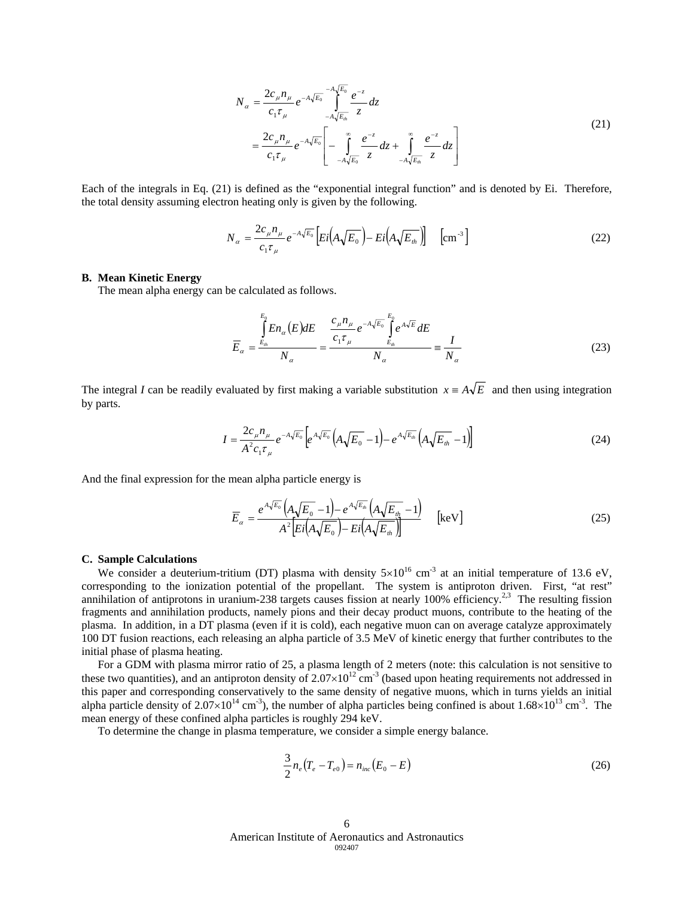$$
N_{\alpha} = \frac{2c_{\mu}n_{\mu}}{c_1\tau_{\mu}} e^{-A\sqrt{E_0}} \int_{-A\sqrt{E_m}}^{A\sqrt{E_0}} \frac{e^{-z}}{z} dz
$$
  
= 
$$
\frac{2c_{\mu}n_{\mu}}{c_1\tau_{\mu}} e^{-A\sqrt{E_0}} \left[ -\int_{-A\sqrt{E_0}}^{\infty} \frac{e^{-z}}{z} dz + \int_{-A\sqrt{E_m}}^{\infty} \frac{e^{-z}}{z} dz \right]
$$
 (21)

Each of the integrals in Eq. (21) is defined as the "exponential integral function" and is denoted by Ei. Therefore, the total density assuming electron heating only is given by the following.

$$
N_{\alpha} = \frac{2c_{\mu}n_{\mu}}{c_1\tau_{\mu}}e^{-A\sqrt{E_0}}\left[Ei\left(A\sqrt{E_0}\right) - Ei\left(A\sqrt{E_{\mu}}\right)\right] \quad \left[\text{cm}^{-3}\right] \tag{22}
$$

#### **B. Mean Kinetic Energy**

The mean alpha energy can be calculated as follows.

$$
\overline{E}_\alpha = \frac{\int_{E_\alpha}^{E_0} En_\alpha(E)dE}{N_\alpha} = \frac{\frac{c_\mu n_\mu}{c_1 \tau_\mu} e^{-A\sqrt{E_0}} \int_{E_\alpha}^{E_0} e^{A\sqrt{E}}dE}{N_\alpha} \equiv \frac{I}{N_\alpha}
$$
\n(23)

The integral *I* can be readily evaluated by first making a variable substitution  $x = A\sqrt{E}$  and then using integration by parts.

$$
I = \frac{2c_{\mu}n_{\mu}}{A^{2}c_{1}\tau_{\mu}}e^{-A\sqrt{E_{0}}}\left[e^{A\sqrt{E_{0}}}\left(A\sqrt{E_{0}}-1\right)-e^{A\sqrt{E_{th}}}\left(A\sqrt{E_{th}}-1\right)\right]
$$
(24)

And the final expression for the mean alpha particle energy is

$$
\overline{E}_{\alpha} = \frac{e^{A\sqrt{E_0}}\left(A\sqrt{E_0} - 1\right) - e^{A\sqrt{E_n}}\left(A\sqrt{E_n} - 1\right)}{A^2 \left[ Ei\left(A\sqrt{E_0}\right) - Ei\left(A\sqrt{E_n}\right) \right]} \quad \text{[keV]}
$$
\n(25)

# **C. Sample Calculations**

We consider a deuterium-tritium (DT) plasma with density  $5\times10^{16}$  cm<sup>-3</sup> at an initial temperature of 13.6 eV, corresponding to the ionization potential of the propellant. The system is antiproton driven. First, "at rest" annihilation of antiprotons in uranium-238 targets causes fission at nearly 100% efficiency.<sup>2,3</sup> The resulting fission fragments and annihilation products, namely pions and their decay product muons, contribute to the heating of the plasma. In addition, in a DT plasma (even if it is cold), each negative muon can on average catalyze approximately 100 DT fusion reactions, each releasing an alpha particle of 3.5 MeV of kinetic energy that further contributes to the initial phase of plasma heating.

For a GDM with plasma mirror ratio of 25, a plasma length of 2 meters (note: this calculation is not sensitive to these two quantities), and an antiproton density of  $2.07 \times 10^{12}$  cm<sup>-3</sup> (based upon heating requirements not addressed in this paper and corresponding conservatively to the same density of negative muons, which in turns yields an initial alpha particle density of  $2.07\times10^{14}$  cm<sup>-3</sup>), the number of alpha particles being confined is about  $1.68\times10^{13}$  cm<sup>-3</sup>. The mean energy of these confined alpha particles is roughly 294 keV.

To determine the change in plasma temperature, we consider a simple energy balance.

$$
\frac{3}{2}n_e(T_e - T_{e0}) = n_{inc}(E_0 - E)
$$
\n(26)